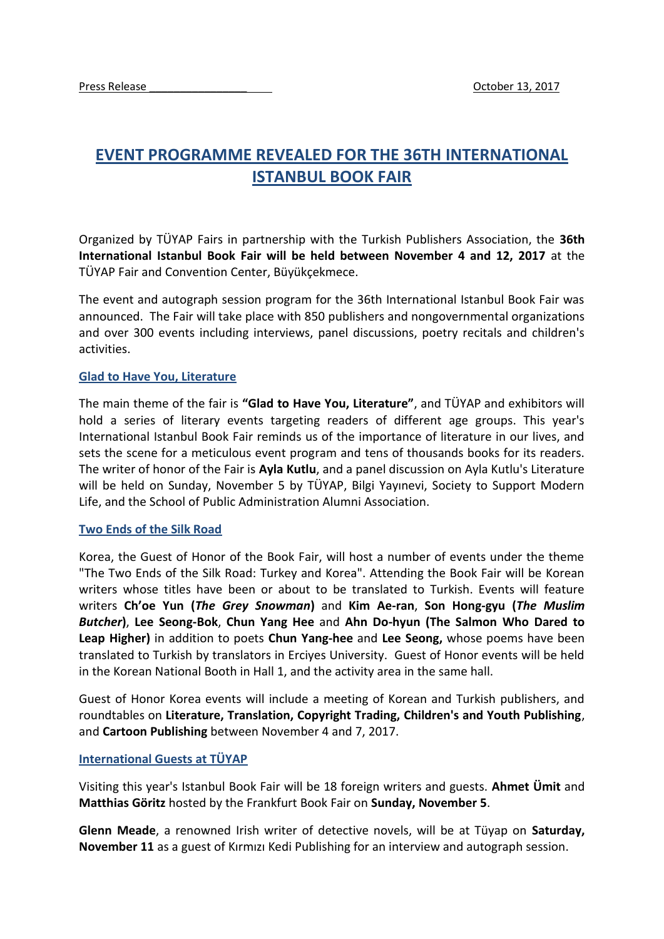## **EVENT PROGRAMME REVEALED FOR THE 36TH INTERNATIONAL ISTANBUL BOOK FAIR**

Organized by TÜYAP Fairs in partnership with the Turkish Publishers Association, the **36th International Istanbul Book Fair will be held between November 4 and 12, 2017** at the TÜYAP Fair and Convention Center, Büyükçekmece.

The event and autograph session program for the 36th International Istanbul Book Fair was announced. The Fair will take place with 850 publishers and nongovernmental organizations and over 300 events including interviews, panel discussions, poetry recitals and children's activities.

## **Glad to Have You, Literature**

The main theme of the fair is **"Glad to Have You, Literature"**, and TÜYAP and exhibitors will hold a series of literary events targeting readers of different age groups. This year's International Istanbul Book Fair reminds us of the importance of literature in our lives, and sets the scene for a meticulous event program and tens of thousands books for its readers. The writer of honor of the Fair is **Ayla Kutlu**, and a panel discussion on Ayla Kutlu's Literature will be held on Sunday, November 5 by TÜYAP, Bilgi Yayınevi, Society to Support Modern Life, and the School of Public Administration Alumni Association.

## **Two Ends of the Silk Road**

Korea, the Guest of Honor of the Book Fair, will host a number of events under the theme "The Two Ends of the Silk Road: Turkey and Korea". Attending the Book Fair will be Korean writers whose titles have been or about to be translated to Turkish. Events will feature writers **Ch'oe Yun (***The Grey Snowman***)** and **Kim Ae-ran**, **Son Hong-gyu (***The Muslim Butcher***)**, **Lee Seong-Bok**, **Chun Yang Hee** and **Ahn Do-hyun (The Salmon Who Dared to Leap Higher)** in addition to poets **Chun Yang-hee** and **Lee Seong,** whose poems have been translated to Turkish by translators in Erciyes University. Guest of Honor events will be held in the Korean National Booth in Hall 1, and the activity area in the same hall.

Guest of Honor Korea events will include a meeting of Korean and Turkish publishers, and roundtables on **Literature, Translation, Copyright Trading, Children's and Youth Publishing**, and **Cartoon Publishing** between November 4 and 7, 2017.

## **International Guests at TÜYAP**

Visiting this year's Istanbul Book Fair will be 18 foreign writers and guests. **Ahmet Ümit** and **Matthias Göritz** hosted by the Frankfurt Book Fair on **Sunday, November 5**.

**Glenn Meade**, a renowned Irish writer of detective novels, will be at Tüyap on **Saturday, November 11** as a guest of Kırmızı Kedi Publishing for an interview and autograph session.